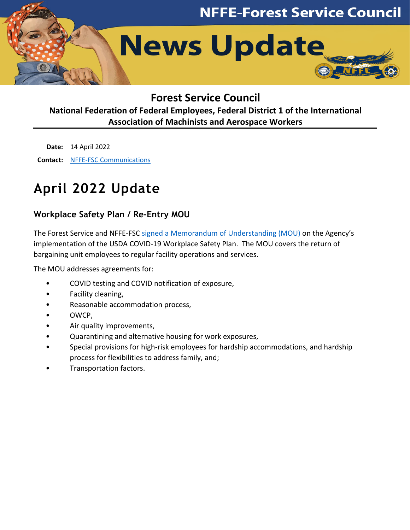

# **Forest Service Council**

# **National Federation of Federal Employees, Federal District 1 of the International Association of Machinists and Aerospace Workers**

**Date:** 14 April 2022 **Contact:** [NFFE-FSC Communications](mailto:nffe_fsc_communications@usda.gov)

# **April 2022 Update**

# **Workplace Safety Plan / Re-Entry MOU**

The Forest Service and NFFE-FSC signed a [Memorandum of Understanding \(MOU\)](http://www.nffe-fsc.org/coronavirus/downloads/2022/20220322-nffe-fsc-mou-wsp-re-entry.pdf) on the Agency's implementation of the USDA COVID-19 Workplace Safety Plan. The MOU covers the return of bargaining unit employees to regular facility operations and services.

The MOU addresses agreements for:

- COVID testing and COVID notification of exposure,
- Facility cleaning,
- Reasonable accommodation process,
- OWCP,
- Air quality improvements,
- Quarantining and alternative housing for work exposures,
- Special provisions for high-risk employees for hardship accommodations, and hardship process for flexibilities to address family, and;
- Transportation factors.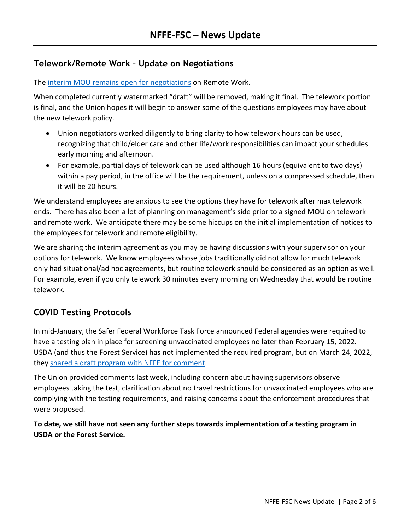## **Telework/Remote Work – Update on Negotiations**

The [interim MOU remains](http://www.nffe-fsc.org/coronavirus/) open for negotiations on Remote Work.

When completed currently watermarked "draft" will be removed, making it final. The telework portion is final, and the Union hopes it will begin to answer some of the questions employees may have about the new telework policy.

- Union negotiators worked diligently to bring clarity to how telework hours can be used, recognizing that child/elder care and other life/work responsibilities can impact your schedules early morning and afternoon.
- For example, partial days of telework can be used although 16 hours (equivalent to two days) within a pay period, in the office will be the requirement, unless on a compressed schedule, then it will be 20 hours.

We understand employees are anxious to see the options they have for telework after max telework ends. There has also been a lot of planning on management's side prior to a signed MOU on telework and remote work. We anticipate there may be some hiccups on the initial implementation of notices to the employees for telework and remote eligibility.

We are sharing the interim agreement as you may be having discussions with your supervisor on your options for telework. We know employees whose jobs traditionally did not allow for much telework only had situational/ad hoc agreements, but routine telework should be considered as an option as well. For example, even if you only telework 30 minutes every morning on Wednesday that would be routine telework.

# **COVID Testing Protocols**

In mid-January, the Safer Federal Workforce Task Force announced Federal agencies were required to have a testing plan in place for screening unvaccinated employees no later than February 15, 2022. USDA (and thus the Forest Service) has not implemented the required program, but on March 24, 2022, they [shared a draft program with NFFE for comment.](http://www.nffe-fsc.org/coronavirus/)

The Union provided comments last week, including concern about having supervisors observe employees taking the test, clarification about no travel restrictions for unvaccinated employees who are complying with the testing requirements, and raising concerns about the enforcement procedures that were proposed.

**To date, we still have not seen any further steps towards implementation of a testing program in USDA or the Forest Service.**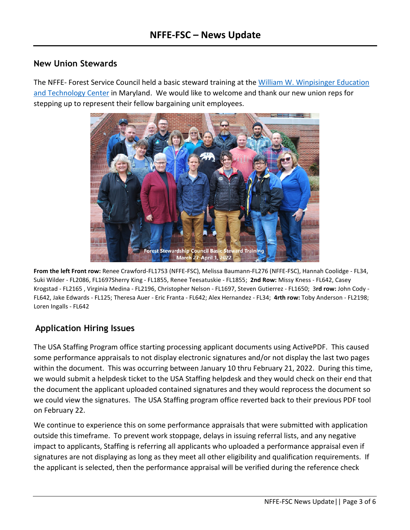#### **New Union Stewards**

The NFFE- Forest Service Council held a basic steward training at the [William W. Winpisinger Education](https://w3iam.org/)  [and Technology Center](https://w3iam.org/) in Maryland. We would like to welcome and thank our new union reps for stepping up to represent their fellow bargaining unit employees.



**From the left Front row:** Renee Crawford-FL1753 (NFFE-FSC), Melissa Baumann-FL276 (NFFE-FSC), Hannah Coolidge - FL34, Suki Wilder - FL2086, FL1697Sherry King - FL1855, Renee Teesatuskie - FL1855; **2nd Row:** Missy Kness - FL642, Casey Krogstad - FL2165 , Virginia Medina - FL2196, Christopher Nelson - FL1697, Steven Gutierrez - FL1650; 3**rd row:** John Cody - FL642, Jake Edwards - FL125; Theresa Auer - Eric Franta - FL642; Alex Hernandez - FL34; **4rth row:** Toby Anderson - FL2198; Loren Ingalls - FL642

# **Application Hiring Issues**

The USA Staffing Program office starting processing applicant documents using ActivePDF. This caused some performance appraisals to not display electronic signatures and/or not display the last two pages within the document. This was occurring between January 10 thru February 21, 2022. During this time, we would submit a helpdesk ticket to the USA Staffing helpdesk and they would check on their end that the document the applicant uploaded contained signatures and they would reprocess the document so we could view the signatures. The USA Staffing program office reverted back to their previous PDF tool on February 22.

We continue to experience this on some performance appraisals that were submitted with application outside this timeframe. To prevent work stoppage, delays in issuing referral lists, and any negative impact to applicants, Staffing is referring all applicants who uploaded a performance appraisal even if signatures are not displaying as long as they meet all other eligibility and qualification requirements. If the applicant is selected, then the performance appraisal will be verified during the reference check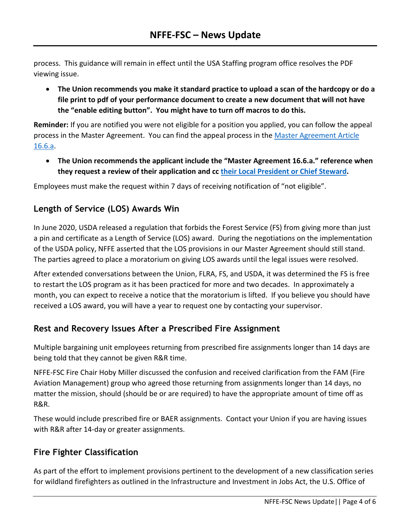process. This guidance will remain in effect until the USA Staffing program office resolves the PDF viewing issue.

• **The Union recommends you make it standard practice to upload a scan of the hardcopy or do a file print to pdf of your performance document to create a new document that will not have the "enable editing button". You might have to turn off macros to do this.**

**Reminder:** If you are notified you were not eligible for a position you applied, you can follow the appeal process in the Master Agreement. You can find the appeal process in the [Master Agreement Article](http://www.nffe-fsc.org/master-agreement/)  [16.6.a.](http://www.nffe-fsc.org/master-agreement/)

• **The Union recommends the applicant include the "Master Agreement 16.6.a." reference when they request a review of their application and c[c their Local President or Chief Steward.](http://www.nffe-fsc.org/membership/?contacts)** 

Employees must make the request within 7 days of receiving notification of "not eligible".

## **Length of Service (LOS) Awards Win**

In June 2020, USDA released a regulation that forbids the Forest Service (FS) from giving more than just a pin and certificate as a Length of Service (LOS) award. During the negotiations on the implementation of the USDA policy, NFFE asserted that the LOS provisions in our Master Agreement should still stand. The parties agreed to place a moratorium on giving LOS awards until the legal issues were resolved.

After extended conversations between the Union, FLRA, FS, and USDA, it was determined the FS is free to restart the LOS program as it has been practiced for more and two decades. In approximately a month, you can expect to receive a notice that the moratorium is lifted. If you believe you should have received a LOS award, you will have a year to request one by contacting your supervisor.

# **Rest and Recovery Issues After a Prescribed Fire Assignment**

Multiple bargaining unit employees returning from prescribed fire assignments longer than 14 days are being told that they cannot be given R&R time.

NFFE-FSC Fire Chair Hoby Miller discussed the confusion and received clarification from the FAM (Fire Aviation Management) group who agreed those returning from assignments longer than 14 days, no matter the mission, should (should be or are required) to have the appropriate amount of time off as R&R.

These would include prescribed fire or BAER assignments. Contact your Union if you are having issues with R&R after 14-day or greater assignments.

# **Fire Fighter Classification**

As part of the effort to implement provisions pertinent to the development of a new classification series for wildland firefighters as outlined in the Infrastructure and Investment in Jobs Act, the U.S. Office of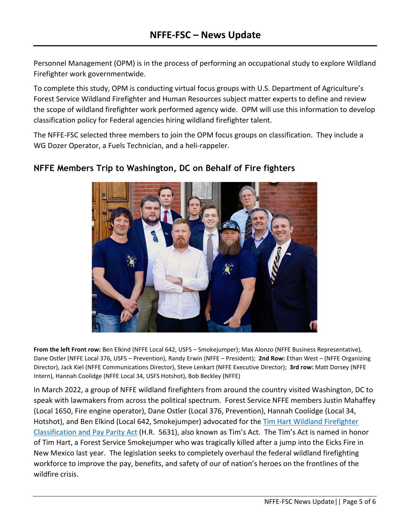Personnel Management (OPM) is in the process of performing an occupational study to explore Wildland Firefighter work governmentwide.

To complete this study, OPM is conducting virtual focus groups with U.S. Department of Agriculture's Forest Service Wildland Firefighter and Human Resources subject matter experts to define and review the scope of wildland firefighter work performed agency wide. OPM will use this information to develop classification policy for Federal agencies hiring wildland firefighter talent.

The NFFE-FSC selected three members to join the OPM focus groups on classification. They include a WG Dozer Operator, a Fuels Technician, and a heli-rappeler.



## **NFFE Members Trip to Washington, DC on Behalf of Fire fighters**

**From the left Front row:** Ben Elkind (NFFE Local 642, USFS – Smokejumper); Max Alonzo (NFFE Business Representative), Dane Ostler (NFFE Local 376, USFS – Prevention), Randy Erwin (NFFE – President); **2nd Row:** Ethan West – (NFFE Organizing Director), Jack Kiel (NFFE Communications Director), Steve Lenkart (NFFE Executive Director); **3rd row:** Matt Dorsey (NFFE Intern), Hannah Coolidge (NFFE Local 34, USFS Hotshot), Bob Beckley (NFFE)

In March 2022, a group of NFFE wildland firefighters from around the country visited Washington, DC to speak with lawmakers from across the political spectrum. Forest Service NFFE members Justin Mahaffey (Local 1650, Fire engine operator), Dane Ostler (Local 376, Prevention), Hannah Coolidge (Local 34, Hotshot), and Ben Elkind (Local 642, Smokejumper) advocated for the Tim Hart Wildland Firefighter [Classification and Pay Parity Act](https://www.grassrootswildlandfirefighters.com/tims-act) (H.R. 5631), also known as Tim's Act. The Tim's Act is named in honor of Tim Hart, a Forest Service Smokejumper who was tragically killed after a jump into the Eicks Fire in New Mexico last year. The legislation seeks to completely overhaul the federal wildland firefighting workforce to improve the pay, benefits, and safety of our of nation's heroes on the frontlines of the wildfire crisis.